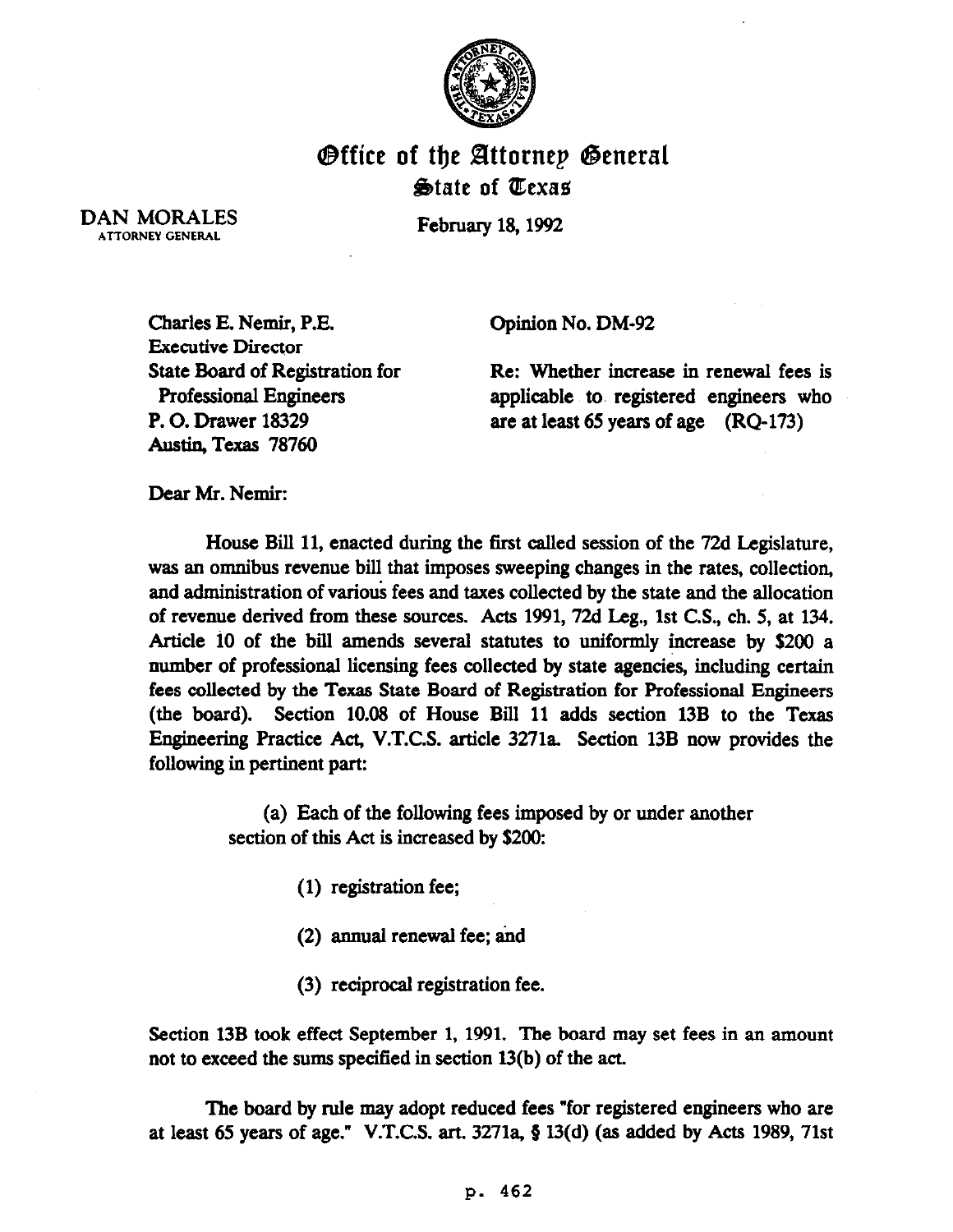

## **Office of the Attornep General** State of Texas

February 18, 1992

DAN MORALES ATTORNEY GENERAL

> Charles E. Nemir, P.E. Executive Director State Board of Registration for Professional Engineers P. 0. Drawer 18329 Austin, Texas 78760

Opinion No. DM-92

Re: Whether increase in renewal fees is applicable to, registered engineers who are at least 65 years of age (RQ-173)

Dear Mr. Nemir:

House Bill 11, enacted during the first called session of the 72d Legislature, was an omnibus revenue bill that imposes sweeping changes in the rates, collection, and administration of various fees and taxes collected by the state and the allocation of revenue derived from these sources. Acts 1991,72d Leg., 1st C.S., ch. 5, at 134. Article 10 of the bill amends several statutes to uniformly increase by  $$200$  a number of professional licensing fees collected by state agencies, including certain fees collected by the Texas State Board of Registration for Professional Engineers (the board). Section 10.08 of House Bill 11 adds section 13B to the Texas Engineering Practice Act, V.T.C.S. article 3271a. Section 13B now provides the following in pertinent part:

> (a) Each of the following fees imposed by or under another section of this Act is increased by \$200:

> > (1) registration fee;

(2) annual renewal fee: and

(3) reciprocal registration fee.

Section 13B took effect September 1, 1991. The board may set fees in an amount not to exceed the sums specified in section 13(b) of the act.

The board by rule may adopt reduced fees "for registered engineers who are at least 65 years of age." V.T.C.S. art. 3271a,  $\S 13(d)$  (as added by Acts 1989, 71st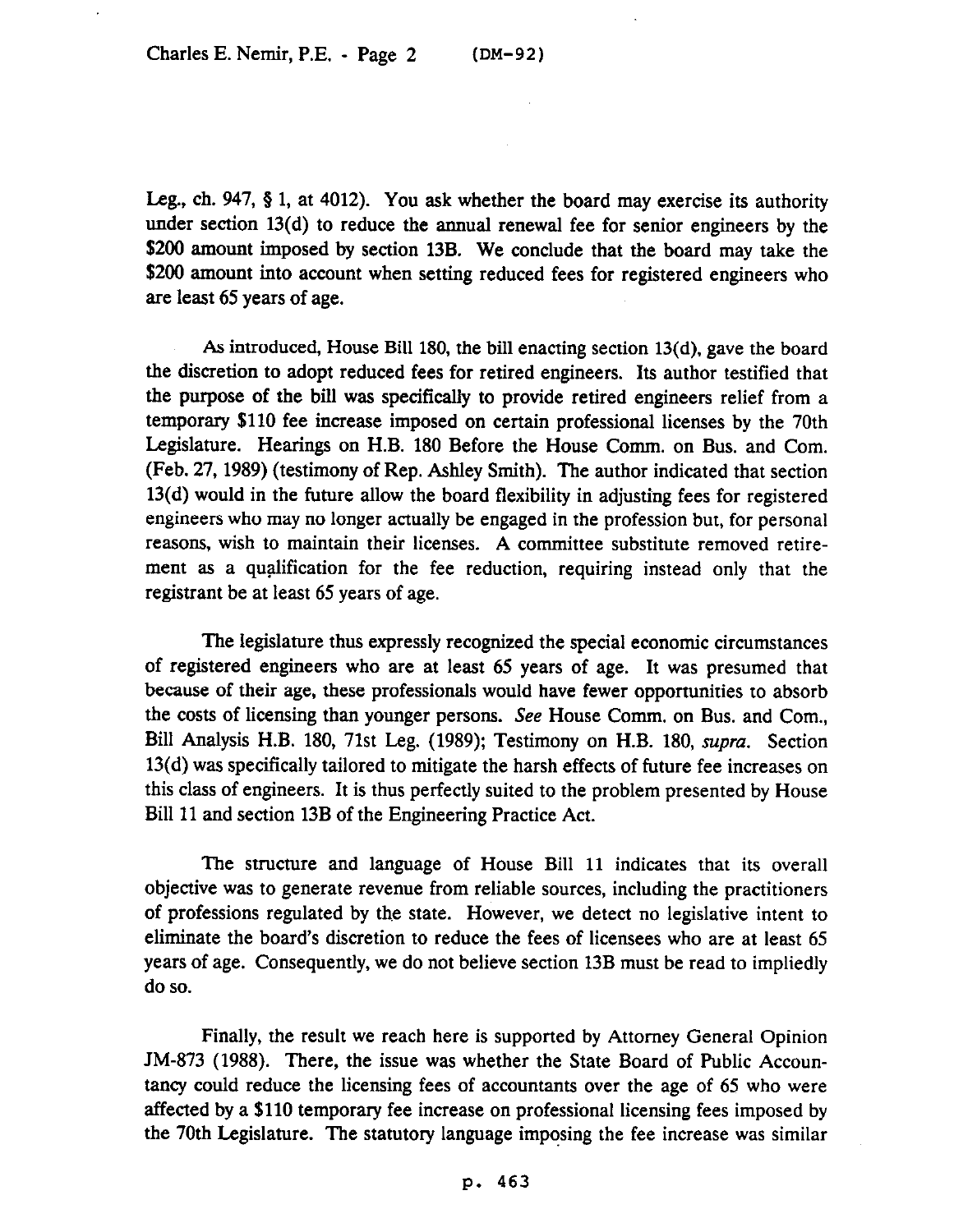Leg., ch. 947,  $\S$  1, at 4012). You ask whether the board may exercise its authority under section 13(d) to reduce the annual renewal fee for senior engineers by the \$200 amount imposed by section 13B. We conclude that the board may take the \$200 amount into account when setting reduced fees for registered engineers who are least 65 years of age.

As introduced, House Bill 180, the bill enacting section 13(d), gave the board the discretion to adopt reduced fees for retired engineers. Its author testified that the purpose of the bill was specifically to provide retired engineers relief from a temporary \$110 fee increase imposed on certain professional licenses by the 70th Legislature. Hearings on H.B. 180 Before the House Comm. on Bus. and Com. (Feb. 27,1989) (testimony of Rep. Ashley Smith). The author indicated that section 13(d) would in the future allow the board flexibility in adjusting fees for registered engineers who may no longer actually be engaged in the profession but, for personal reasons, wish to maintain their licenses. A committee substitute removed retirement as a qualification for the fee reduction, requiring instead only that the registrant be at least 65 years of age.

The legislature thus expressly recognized the special economic circumstances of registered engineers who are at least 65 years of age. It was presumed that because of their age, these professionals would have fewer opportunities to absorb the costs of licensing than younger persons. See House Comm. on Bus. and Com., Bill Analysis H.B. 180, 71st Leg. (1989); Testimony on H.B. 180, *supra.* Section 13(d) was specifically tailored to mitigate the harsh effects of future fee increases on this class of engineers. It is thus perfectly suited to the problem presented by House Bill 11 and section 13B of the Engineering Practice Act.

The structure and language of House Bill 11 indicates that its overall objective was to generate revenue from reliable sources, including the practitioners of professions regulated by the state. However, we detect no legislative intent to eliminate the board's discretion to reduce the fees of licensees who are at least 65 years of age. Consequently, we do not believe section 13B must be read to impliedly do so.

Finally, the result we reach here is supported by Attorney General Opinion JM-873 (1988). There, the issue was whether the State Board of Public Accountancy could reduce the licensing fees of accountants over the age of 65 who were affected by a \$110 temporary fee increase on professional licensing fees imposed by the 70th Legislature. The statutory language imposing the fee increase was similar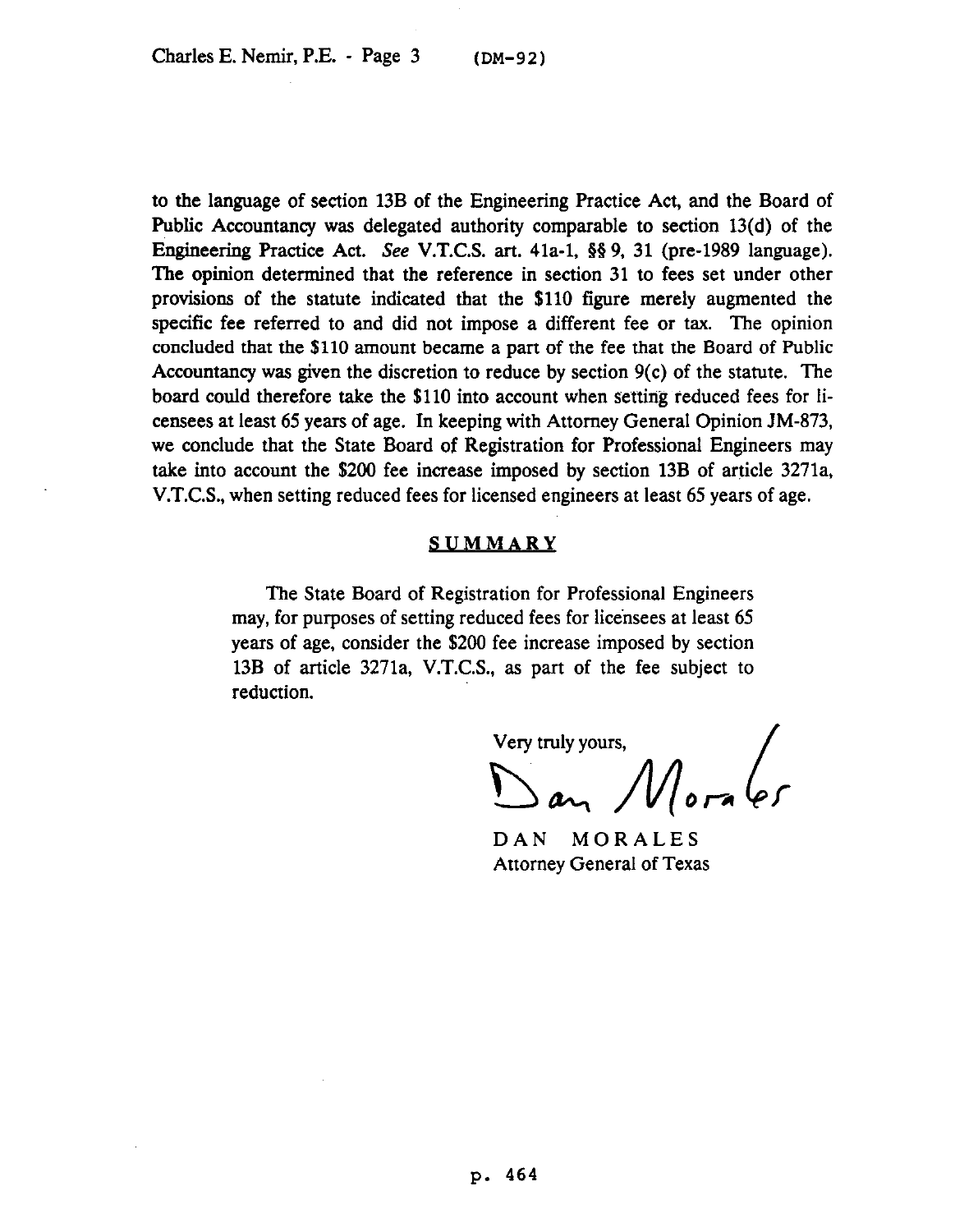to the language of section 13B of the Engineering Practice Act, and the Board of Public Accountancy was delegated authority comparable to section 13(d) of the Engineering Practice Act. See V.T.C.S. art. 41a-1, 63 9, 31 (pre-1989 language). The opinion determined that the reference in section 31 to fees set under other provisions of the statute indicated that the \$110 figure merely augmented the specific fee referred to and did not impose a different fee or tax. The opinion concluded that the \$110 amount became a part of the fee that the Board of Public Accountancy was given the discretion to reduce by section 9(c) of the statute. The board could therefore take the \$110 into account when setting reduced fees for licensees at least 65 years of age. In keeping with Attorney General Opinion JM-873, we conclude that the State Board of Registration for Professional Engineers may take into account the \$200 fee increase imposed by section 13B of article 3271a, V.T.C.S., when setting reduced fees for licensed engineers at least 65 years of age.

## **SUMMARY**

The State Board of Registration for Professional Engineers may, for purposes of setting reduced fees for licensees at least 65 years of age, consider the \$200 fee increase imposed by section 13B of article 3271a, V.T.C.S., as part of the fee subject to reduction.

Very truly yours,<br>Dan Mora es Very truly yours,

DAN MORALES Attorney General of Texas